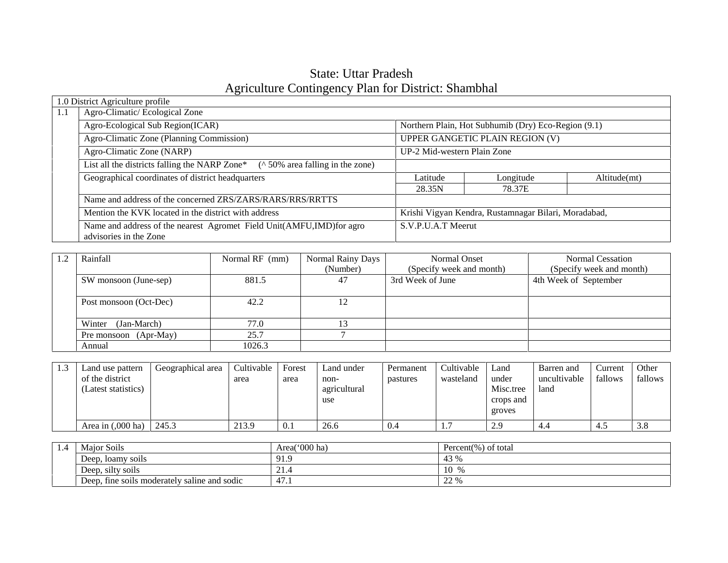# State: Uttar Pradesh Agriculture Contingency Plan for District: Shambhal

|     | 1.0 District Agriculture profile                                                               |                             |                                                      |              |
|-----|------------------------------------------------------------------------------------------------|-----------------------------|------------------------------------------------------|--------------|
| 1.1 | Agro-Climatic/Ecological Zone                                                                  |                             |                                                      |              |
|     | Agro-Ecological Sub Region(ICAR)                                                               |                             | Northern Plain, Hot Subhumib (Dry) Eco-Region (9.1)  |              |
|     | Agro-Climatic Zone (Planning Commission)                                                       |                             | UPPER GANGETIC PLAIN REGION (V)                      |              |
|     | Agro-Climatic Zone (NARP)                                                                      | UP-2 Mid-western Plain Zone |                                                      |              |
|     | List all the districts falling the NARP Zone* $(^{\wedge} 50\%$ area falling in the zone)      |                             |                                                      |              |
|     | Geographical coordinates of district headquarters                                              | Latitude                    | Longitude                                            | Altitude(mt) |
|     |                                                                                                | 28.35N                      | 78.37E                                               |              |
|     | Name and address of the concerned ZRS/ZARS/RARS/RRS/RRTTS                                      |                             |                                                      |              |
|     | Mention the KVK located in the district with address                                           |                             | Krishi Vigyan Kendra, Rustamnagar Bilari, Moradabad, |              |
|     | Name and address of the nearest Agromet Field Unit(AMFU,IMD)for agro<br>advisories in the Zone | S.V.P.U.A.T Meerut          |                                                      |              |

| ാ | Rainfall               | Normal RF (mm) | Normal Rainy Days | Normal Onset             | <b>Normal Cessation</b>  |
|---|------------------------|----------------|-------------------|--------------------------|--------------------------|
|   |                        |                | (Number)          | (Specify week and month) | (Specify week and month) |
|   | SW monsoon (June-sep)  | 881.5          | 47                | 3rd Week of June         | 4th Week of September    |
|   |                        |                |                   |                          |                          |
|   | Post monsoon (Oct-Dec) | 42.2           | 12                |                          |                          |
|   |                        |                |                   |                          |                          |
|   | Winter<br>(Jan-March)  | 77.0           |                   |                          |                          |
|   | Pre monsoon (Apr-May)  | 25.7           |                   |                          |                          |
|   | Annual                 | 1026.3         |                   |                          |                          |

| 1.3 | Land use pattern            | Geographical area | Cultivable | Forest | Land under   | Permanent | Cultivable | Land      | Barren and   | Current | Other   |
|-----|-----------------------------|-------------------|------------|--------|--------------|-----------|------------|-----------|--------------|---------|---------|
|     | of the district             |                   | area       | area   | non-         | pastures  | wasteland  | under     | uncultivable | fallows | fallows |
|     | (Latest statistics)         |                   |            |        | agricultural |           |            | Misc.tree | land         |         |         |
|     |                             |                   |            |        | use          |           |            | crops and |              |         |         |
|     |                             |                   |            |        |              |           |            | groves    |              |         |         |
|     | Area in $(.000 \text{ ha})$ | 245.3             | 213.9      | 0.1    | 26.6         | 0.4       | $\pm$ .    | 2.9       | 4.4          | 4.5     | 3.8     |

| $\pm .4$ | Major Soils                                  | $(1000 \text{ ha})$<br>Area( | Percent(%) of total |
|----------|----------------------------------------------|------------------------------|---------------------|
|          | Deep,<br>, Ioamy soils                       | 91.9                         | 43 %                |
|          | Deep, silty soils                            | $\sim$ 1<br>21.4             | 10<br>0/2           |
|          | Deep, fine soils moderately saline and sodic | $\overline{A}$<br>4/1.1      | 22 %                |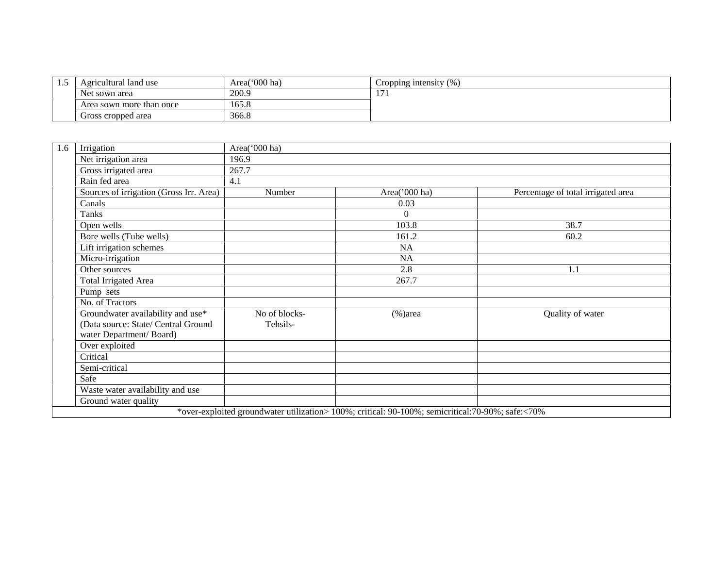| ن. 1 | Agricultural land use    | Area('000 ha) | Cropping intensity $(\%)$ |
|------|--------------------------|---------------|---------------------------|
|      | Net sown area            | 200.9         | $\sim$<br>11.             |
|      | Area sown more than once | 165.8         |                           |
|      | Gross cropped area       | 366.8         |                           |

| 1.6 | Irrigation                                                                                          | Area('000 ha)             |                                                                                                  |                                    |
|-----|-----------------------------------------------------------------------------------------------------|---------------------------|--------------------------------------------------------------------------------------------------|------------------------------------|
|     | Net irrigation area                                                                                 | 196.9                     |                                                                                                  |                                    |
|     | Gross irrigated area                                                                                | 267.7                     |                                                                                                  |                                    |
|     | Rain fed area                                                                                       | 4.1                       |                                                                                                  |                                    |
|     | Sources of irrigation (Gross Irr. Area)                                                             | Number                    | Area('000 ha)                                                                                    | Percentage of total irrigated area |
|     | Canals                                                                                              |                           | 0.03                                                                                             |                                    |
|     | <b>Tanks</b>                                                                                        |                           | $\Omega$                                                                                         |                                    |
|     | Open wells                                                                                          |                           | 103.8                                                                                            | 38.7                               |
|     | Bore wells (Tube wells)                                                                             |                           | 161.2                                                                                            | 60.2                               |
|     | Lift irrigation schemes                                                                             |                           | <b>NA</b>                                                                                        |                                    |
|     | Micro-irrigation                                                                                    |                           | <b>NA</b>                                                                                        |                                    |
|     | Other sources                                                                                       |                           | 2.8                                                                                              | 1.1                                |
|     | <b>Total Irrigated Area</b>                                                                         |                           | 267.7                                                                                            |                                    |
|     | Pump sets                                                                                           |                           |                                                                                                  |                                    |
|     | No. of Tractors                                                                                     |                           |                                                                                                  |                                    |
|     | Groundwater availability and use*<br>(Data source: State/ Central Ground<br>water Department/Board) | No of blocks-<br>Tehsils- | $%$ )area                                                                                        | Quality of water                   |
|     | Over exploited                                                                                      |                           |                                                                                                  |                                    |
|     | Critical                                                                                            |                           |                                                                                                  |                                    |
|     | Semi-critical                                                                                       |                           |                                                                                                  |                                    |
|     | Safe                                                                                                |                           |                                                                                                  |                                    |
|     | Waste water availability and use                                                                    |                           |                                                                                                  |                                    |
|     | Ground water quality                                                                                |                           |                                                                                                  |                                    |
|     |                                                                                                     |                           | *over-exploited groundwater utilization> 100%; critical: 90-100%; semicritical:70-90%; safe:<70% |                                    |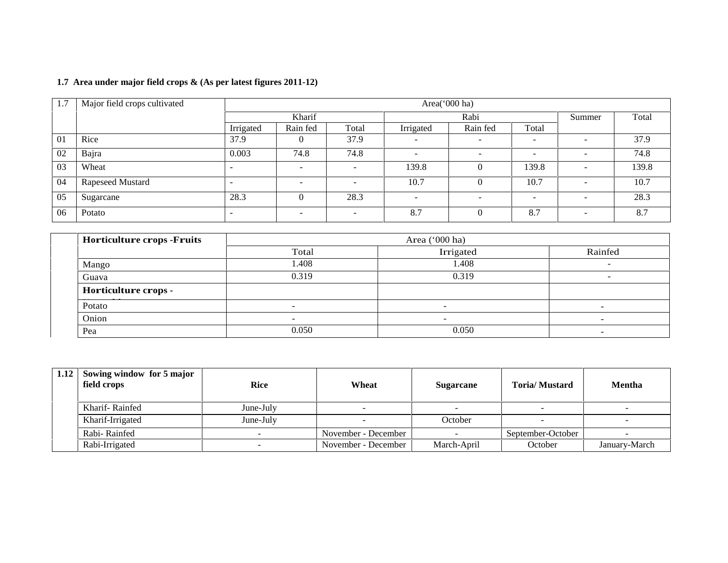| 1.7 | Major field crops cultivated |           | Area('000 ha)            |       |                          |                          |       |        |       |  |
|-----|------------------------------|-----------|--------------------------|-------|--------------------------|--------------------------|-------|--------|-------|--|
|     |                              |           | Kharif                   |       |                          | Rabi                     |       | Summer | Total |  |
|     |                              | Irrigated | Rain fed                 | Total | Irrigated                | Rain fed                 | Total |        |       |  |
| 01  | Rice                         | 37.9      | 0                        | 37.9  | -                        | $\overline{\phantom{0}}$ | -     | -      | 37.9  |  |
| 02  | Bajra                        | 0.003     | 74.8                     | 74.8  | $\overline{\phantom{0}}$ | $\overline{\phantom{0}}$ |       |        | 74.8  |  |
| 03  | Wheat                        |           | $\overline{\phantom{a}}$ | -     | 139.8                    | O                        | 139.8 | -      | 139.8 |  |
| 04  | Rapeseed Mustard             | . .       | $\overline{\phantom{0}}$ |       | 10.7                     | $\mathcal{L}$            | 10.7  |        | 10.7  |  |
| 05  | Sugarcane                    | 28.3      | 0                        | 28.3  | -                        | $\sim$                   | -     |        | 28.3  |  |
| 06  | Potato                       | -         | -                        |       | 8.7                      |                          | 8.7   |        | 8.7   |  |

### **1.7 Area under major field crops & (As per latest figures 2011-12)**

| <b>Horticulture crops -Fruits</b> |        | Area $('000 ha)$ |         |  |  |  |
|-----------------------------------|--------|------------------|---------|--|--|--|
|                                   | Total  | Irrigated        | Rainfed |  |  |  |
| Mango                             | 1.408  | 1.408            | -       |  |  |  |
| Guava                             | 0.319  | 0.319            | -       |  |  |  |
| Horticulture crops -              |        |                  |         |  |  |  |
| Potato                            | $\sim$ |                  | -       |  |  |  |
| Onion                             |        |                  |         |  |  |  |
| Pea                               | 0.050  | 0.050            |         |  |  |  |

| 1.12 Sowing window for 5 major<br>field crops | <b>Rice</b> | Wheat               | <b>Sugarcane</b> | <b>Toria/Mustard</b> | <b>Mentha</b> |
|-----------------------------------------------|-------------|---------------------|------------------|----------------------|---------------|
| Kharif-Rainfed                                | June-July   |                     |                  |                      |               |
| Kharif-Irrigated                              | June-July   |                     | October          |                      |               |
| Rabi-Rainfed                                  |             | November - December |                  | September-October    |               |
| Rabi-Irrigated                                |             | November - December | March-April      | October              | January-March |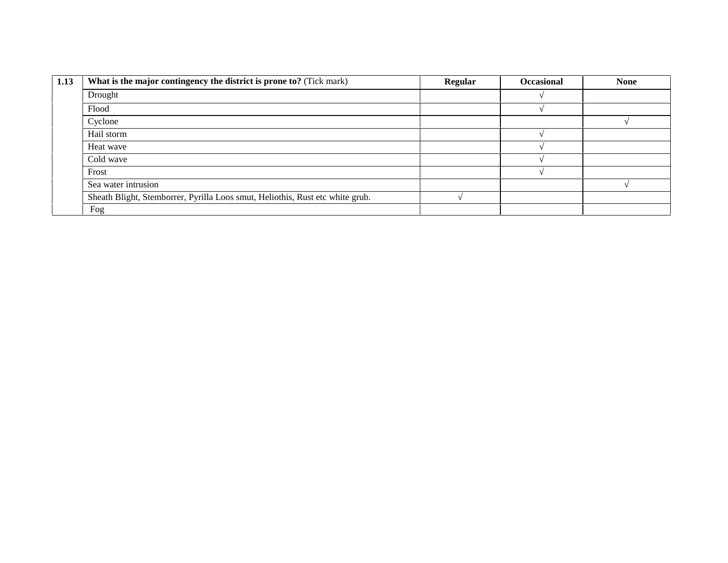| 1.13 | What is the major contingency the district is prone to? (Tick mark)           | Regular | <b>Occasional</b> | <b>None</b> |
|------|-------------------------------------------------------------------------------|---------|-------------------|-------------|
|      | Drought                                                                       |         |                   |             |
|      | Flood                                                                         |         |                   |             |
|      | Cyclone                                                                       |         |                   |             |
|      | Hail storm                                                                    |         |                   |             |
|      | Heat wave                                                                     |         |                   |             |
|      | Cold wave                                                                     |         |                   |             |
|      | Frost                                                                         |         |                   |             |
|      | Sea water intrusion                                                           |         |                   |             |
|      | Sheath Blight, Stemborrer, Pyrilla Loos smut, Heliothis, Rust etc white grub. |         |                   |             |
|      | Fog                                                                           |         |                   |             |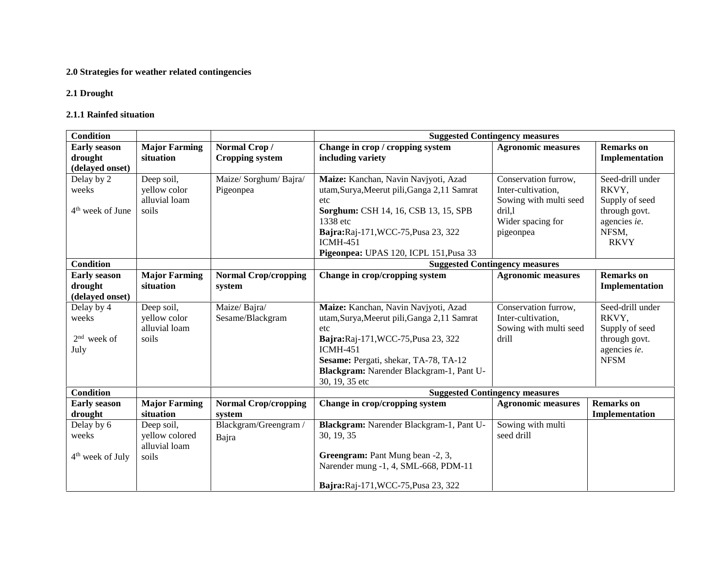#### **2.0 Strategies for weather related contingencies**

#### **2.1 Drought**

#### **2.1.1 Rainfed situation**

| <b>Condition</b>                                    |                                                        |                                        |                                                                                                                                                                                                                                                             | <b>Suggested Contingency measures</b>                                                                            |                                                                                                      |
|-----------------------------------------------------|--------------------------------------------------------|----------------------------------------|-------------------------------------------------------------------------------------------------------------------------------------------------------------------------------------------------------------------------------------------------------------|------------------------------------------------------------------------------------------------------------------|------------------------------------------------------------------------------------------------------|
| <b>Early season</b><br>drought<br>(delayed onset)   | <b>Major Farming</b><br>situation                      | Normal Crop/<br><b>Cropping system</b> | Change in crop / cropping system<br>including variety                                                                                                                                                                                                       | <b>Agronomic measures</b>                                                                                        | <b>Remarks</b> on<br>Implementation                                                                  |
| Delay by 2<br>weeks<br>4 <sup>th</sup> week of June | Deep soil,<br>yellow color<br>alluvial loam<br>soils   | Maize/Sorghum/Bajra/<br>Pigeonpea      | Maize: Kanchan, Navin Navjyoti, Azad<br>utam, Surya, Meerut pili, Ganga 2,11 Samrat<br>etc<br>Sorghum: CSH 14, 16, CSB 13, 15, SPB<br>1338 etc<br>Bajra:Raj-171, WCC-75, Pusa 23, 322<br><b>ICMH-451</b><br>Pigeonpea: UPAS 120, ICPL 151, Pusa 33          | Conservation furrow,<br>Inter-cultivation,<br>Sowing with multi seed<br>dril,1<br>Wider spacing for<br>pigeonpea | Seed-drill under<br>RKVY,<br>Supply of seed<br>through govt.<br>agencies ie.<br>NFSM,<br><b>RKVY</b> |
| <b>Condition</b>                                    |                                                        |                                        |                                                                                                                                                                                                                                                             | <b>Suggested Contingency measures</b>                                                                            |                                                                                                      |
| <b>Early season</b><br>drought<br>(delayed onset)   | <b>Major Farming</b><br>situation                      | <b>Normal Crop/cropping</b><br>system  | Change in crop/cropping system                                                                                                                                                                                                                              | <b>Agronomic measures</b>                                                                                        | <b>Remarks</b> on<br>Implementation                                                                  |
| Delay by 4<br>weeks<br>$2nd$ week of<br>July        | Deep soil,<br>yellow color<br>alluvial loam<br>soils   | Maize/Bajra/<br>Sesame/Blackgram       | Maize: Kanchan, Navin Navjyoti, Azad<br>utam, Surya, Meerut pili, Ganga 2,11 Samrat<br>etc<br>Bajra:Raj-171, WCC-75, Pusa 23, 322<br><b>ICMH-451</b><br>Sesame: Pergati, shekar, TA-78, TA-12<br>Blackgram: Narender Blackgram-1, Pant U-<br>30, 19, 35 etc | Conservation furrow,<br>Inter-cultivation,<br>Sowing with multi seed<br>drill                                    | Seed-drill under<br>RKVY,<br>Supply of seed<br>through govt.<br>agencies ie.<br><b>NFSM</b>          |
| <b>Condition</b>                                    |                                                        |                                        |                                                                                                                                                                                                                                                             | <b>Suggested Contingency measures</b>                                                                            |                                                                                                      |
| <b>Early season</b><br>drought                      | <b>Major Farming</b><br>situation                      | <b>Normal Crop/cropping</b><br>system  | Change in crop/cropping system                                                                                                                                                                                                                              | <b>Agronomic measures</b>                                                                                        | <b>Remarks</b> on<br>Implementation                                                                  |
| Delay by 6<br>weeks<br>$4th$ week of July           | Deep soil,<br>yellow colored<br>alluvial loam<br>soils | Blackgram/Greengram/<br>Bajra          | Blackgram: Narender Blackgram-1, Pant U-<br>30, 19, 35<br>Greengram: Pant Mung bean -2, 3,<br>Narender mung -1, 4, SML-668, PDM-11<br>Bajra:Raj-171, WCC-75, Pusa 23, 322                                                                                   | Sowing with multi<br>seed drill                                                                                  |                                                                                                      |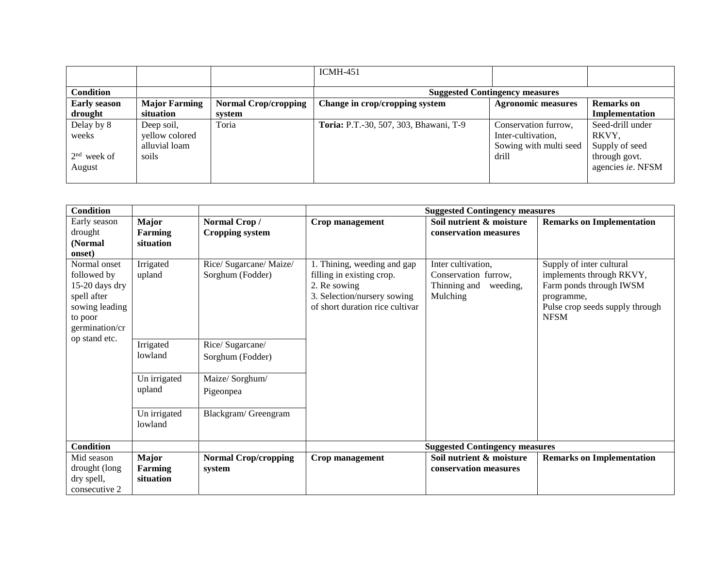|                     |                      |                             | $ICMH-451$                             |                                       |                           |
|---------------------|----------------------|-----------------------------|----------------------------------------|---------------------------------------|---------------------------|
| <b>Condition</b>    |                      |                             |                                        | <b>Suggested Contingency measures</b> |                           |
| <b>Early season</b> | <b>Major Farming</b> | <b>Normal Crop/cropping</b> | Change in crop/cropping system         | <b>Agronomic measures</b>             | <b>Remarks</b> on         |
| drought             | situation            | system                      |                                        |                                       | Implementation            |
| Delay by 8          | Deep soil,           | Toria                       | Toria: P.T.-30, 507, 303, Bhawani, T-9 | Conservation furrow,                  | Seed-drill under          |
| weeks               | vellow colored       |                             |                                        | Inter-cultivation,                    | RKVY,                     |
|                     | alluvial loam        |                             |                                        | Sowing with multi seed                | Supply of seed            |
| $2nd$ week of       | soils                |                             |                                        | drill                                 | through govt.             |
| August              |                      |                             |                                        |                                       | agencies <i>ie</i> . NFSM |
|                     |                      |                             |                                        |                                       |                           |

| <b>Condition</b>                                                                                            |                                             |                                             |                                                                                                                                            | <b>Suggested Contingency measures</b>                                              |                                                                                                                                                 |
|-------------------------------------------------------------------------------------------------------------|---------------------------------------------|---------------------------------------------|--------------------------------------------------------------------------------------------------------------------------------------------|------------------------------------------------------------------------------------|-------------------------------------------------------------------------------------------------------------------------------------------------|
| Early season<br>drought<br>(Normal)<br>onset)                                                               | Major<br><b>Farming</b><br>situation        | Normal Crop/<br><b>Cropping system</b>      | Crop management                                                                                                                            | Soil nutrient & moisture<br>conservation measures                                  | <b>Remarks on Implementation</b>                                                                                                                |
| Normal onset<br>followed by<br>15-20 days dry<br>spell after<br>sowing leading<br>to poor<br>germination/cr | Irrigated<br>upland                         | Rice/ Sugarcane/ Maize/<br>Sorghum (Fodder) | 1. Thining, weeding and gap<br>filling in existing crop.<br>2. Re sowing<br>3. Selection/nursery sowing<br>of short duration rice cultivar | Inter cultivation,<br>Conservation furrow,<br>Thinning and<br>weeding,<br>Mulching | Supply of inter cultural<br>implements through RKVY,<br>Farm ponds through IWSM<br>programme,<br>Pulse crop seeds supply through<br><b>NFSM</b> |
| op stand etc.                                                                                               | Irrigated<br>lowland                        | Rice/Sugarcane/<br>Sorghum (Fodder)         |                                                                                                                                            |                                                                                    |                                                                                                                                                 |
|                                                                                                             | Un irrigated<br>upland                      | Maize/Sorghum/<br>Pigeonpea                 |                                                                                                                                            |                                                                                    |                                                                                                                                                 |
|                                                                                                             | Un irrigated<br>lowland                     | Blackgram/Greengram                         |                                                                                                                                            |                                                                                    |                                                                                                                                                 |
| <b>Condition</b>                                                                                            |                                             |                                             |                                                                                                                                            | <b>Suggested Contingency measures</b>                                              |                                                                                                                                                 |
| Mid season<br>drought (long<br>dry spell,<br>consecutive 2                                                  | <b>Major</b><br><b>Farming</b><br>situation | <b>Normal Crop/cropping</b><br>system       | Crop management                                                                                                                            | Soil nutrient & moisture<br>conservation measures                                  | <b>Remarks on Implementation</b>                                                                                                                |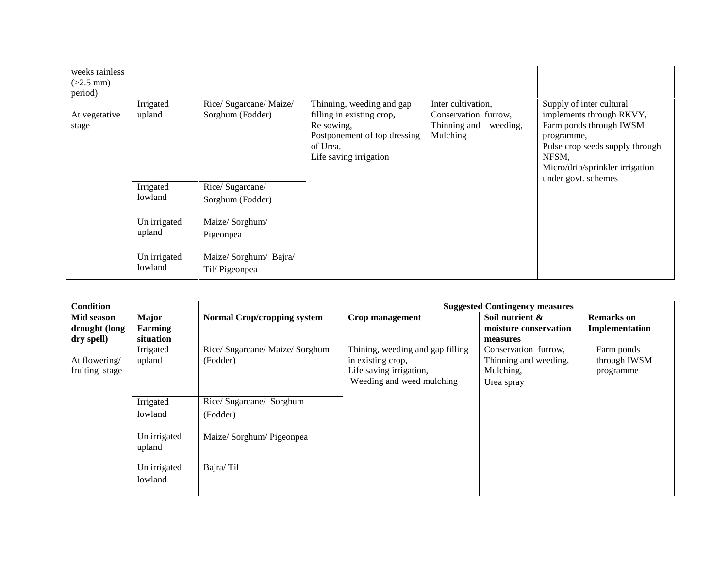| weeks rainless<br>$(>2.5$ mm)<br>period) |                         |                                             |                                                                                                                                            |                                                                                    |                                                                                                                                                                                                     |
|------------------------------------------|-------------------------|---------------------------------------------|--------------------------------------------------------------------------------------------------------------------------------------------|------------------------------------------------------------------------------------|-----------------------------------------------------------------------------------------------------------------------------------------------------------------------------------------------------|
| At vegetative<br>stage                   | Irrigated<br>upland     | Rice/ Sugarcane/ Maize/<br>Sorghum (Fodder) | Thinning, weeding and gap<br>filling in existing crop,<br>Re sowing,<br>Postponement of top dressing<br>of Urea,<br>Life saving irrigation | Inter cultivation,<br>Conservation furrow,<br>Thinning and<br>weeding,<br>Mulching | Supply of inter cultural<br>implements through RKVY,<br>Farm ponds through IWSM<br>programme,<br>Pulse crop seeds supply through<br>NFSM,<br>Micro/drip/sprinkler irrigation<br>under govt. schemes |
|                                          | Irrigated<br>lowland    | Rice/Sugarcane/<br>Sorghum (Fodder)         |                                                                                                                                            |                                                                                    |                                                                                                                                                                                                     |
|                                          | Un irrigated<br>upland  | Maize/Sorghum/<br>Pigeonpea                 |                                                                                                                                            |                                                                                    |                                                                                                                                                                                                     |
|                                          | Un irrigated<br>lowland | Maize/ Sorghum/ Bajra/<br>Til/Pigeonpea     |                                                                                                                                            |                                                                                    |                                                                                                                                                                                                     |

| Condition                                 |                               |                                             |                                                                                                               | <b>Suggested Contingency measures</b>                                    |                                         |
|-------------------------------------------|-------------------------------|---------------------------------------------|---------------------------------------------------------------------------------------------------------------|--------------------------------------------------------------------------|-----------------------------------------|
| Mid season<br>drought (long<br>dry spell) | Major<br>Farming<br>situation | <b>Normal Crop/cropping system</b>          | Crop management                                                                                               | Soil nutrient $\&$<br>moisture conservation<br>measures                  | <b>Remarks</b> on<br>Implementation     |
| At flowering/<br>fruiting stage           | Irrigated<br>upland           | Rice/ Sugarcane/ Maize/ Sorghum<br>(Fodder) | Thining, weeding and gap filling<br>in existing crop,<br>Life saving irrigation,<br>Weeding and weed mulching | Conservation furrow,<br>Thinning and weeding,<br>Mulching,<br>Urea spray | Farm ponds<br>through IWSM<br>programme |
|                                           | Irrigated<br>lowland          | Rice/Sugarcane/Sorghum<br>(Fodder)          |                                                                                                               |                                                                          |                                         |
|                                           | Un irrigated<br>upland        | Maize/ Sorghum/ Pigeonpea                   |                                                                                                               |                                                                          |                                         |
|                                           | Un irrigated<br>lowland       | Bajra/Til                                   |                                                                                                               |                                                                          |                                         |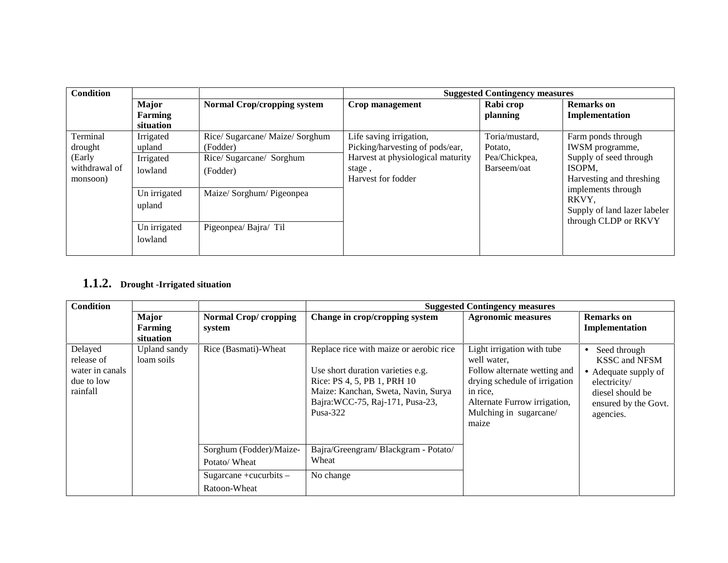| <b>Condition</b>                                           |                                             | <b>Suggested Contingency measures</b>                                               |                                                                                                                                 |                                                           |                                                                                                       |  |
|------------------------------------------------------------|---------------------------------------------|-------------------------------------------------------------------------------------|---------------------------------------------------------------------------------------------------------------------------------|-----------------------------------------------------------|-------------------------------------------------------------------------------------------------------|--|
|                                                            | <b>Major</b><br><b>Farming</b><br>situation | <b>Normal Crop/cropping system</b>                                                  | Crop management                                                                                                                 | Rabi crop<br>planning                                     | <b>Remarks</b> on<br>Implementation                                                                   |  |
| Terminal<br>drought<br>(Early<br>withdrawal of<br>monsoon) | Irrigated<br>upland<br>Irrigated<br>lowland | Rice/ Sugarcane/ Maize/ Sorghum<br>(Fodder)<br>Rice/ Sugarcane/ Sorghum<br>(Fodder) | Life saving irrigation,<br>Picking/harvesting of pods/ear,<br>Harvest at physiological maturity<br>stage,<br>Harvest for fodder | Toria/mustard,<br>Potato.<br>Pea/Chickpea,<br>Barseem/oat | Farm ponds through<br>IWSM programme,<br>Supply of seed through<br>ISOPM.<br>Harvesting and threshing |  |
|                                                            | Un irrigated<br>upland                      | Maize/ Sorghum/ Pigeonpea                                                           |                                                                                                                                 |                                                           | implements through<br>RKVY.<br>Supply of land lazer labeler<br>through CLDP or RKVY                   |  |
|                                                            | Un irrigated<br>lowland                     | Pigeonpea/ Bajra/ Til                                                               |                                                                                                                                 |                                                           |                                                                                                       |  |

# **1.1.2. Drought -Irrigated situation**

| <b>Condition</b>                                                   |                                      |                                         |                                                                                                                                                                                                       | <b>Suggested Contingency measures</b>                                                                                                                                                     |                                                                                                                                     |
|--------------------------------------------------------------------|--------------------------------------|-----------------------------------------|-------------------------------------------------------------------------------------------------------------------------------------------------------------------------------------------------------|-------------------------------------------------------------------------------------------------------------------------------------------------------------------------------------------|-------------------------------------------------------------------------------------------------------------------------------------|
|                                                                    | <b>Major</b><br>Farming<br>situation | Normal Crop/cropping<br>system          | Change in crop/cropping system                                                                                                                                                                        | <b>Agronomic measures</b>                                                                                                                                                                 | <b>Remarks</b> on<br>Implementation                                                                                                 |
| Delayed<br>release of<br>water in canals<br>due to low<br>rainfall | Upland sandy<br>loam soils           | Rice (Basmati)-Wheat                    | Replace rice with maize or aerobic rice<br>Use short duration varieties e.g.<br>Rice: PS 4, 5, PB 1, PRH 10<br>Maize: Kanchan, Sweta, Navin, Surya<br>Bajra: WCC-75, Raj-171, Pusa-23,<br>Pusa- $322$ | Light irrigation with tube<br>well water.<br>Follow alternate wetting and<br>drying schedule of irrigation<br>in rice.<br>Alternate Furrow irrigation,<br>Mulching in sugarcane/<br>maize | Seed through<br><b>KSSC and NFSM</b><br>Adequate supply of<br>electricity/<br>diesel should be<br>ensured by the Govt.<br>agencies. |
|                                                                    |                                      | Sorghum (Fodder)/Maize-<br>Potato/Wheat | Bajra/Greengram/Blackgram - Potato/<br>Wheat                                                                                                                                                          |                                                                                                                                                                                           |                                                                                                                                     |
|                                                                    |                                      | Sugarcane +cucurbits -<br>Ratoon-Wheat  | No change                                                                                                                                                                                             |                                                                                                                                                                                           |                                                                                                                                     |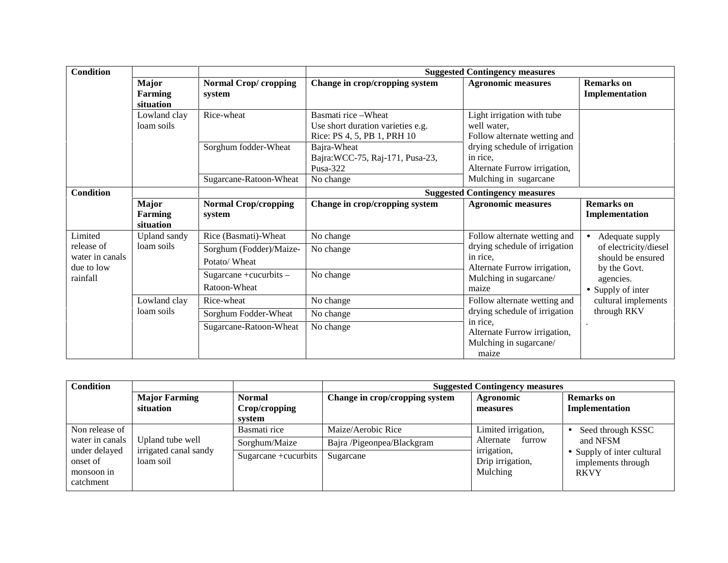| <b>Condition</b>                            |                                             |                                         | <b>Suggested Contingency measures</b>                                                    |                                                                                                                                                              |                                            |  |
|---------------------------------------------|---------------------------------------------|-----------------------------------------|------------------------------------------------------------------------------------------|--------------------------------------------------------------------------------------------------------------------------------------------------------------|--------------------------------------------|--|
| <b>Condition</b>                            | <b>Major</b><br><b>Farming</b><br>situation | <b>Normal Crop/cropping</b><br>system   | Change in crop/cropping system                                                           | <b>Agronomic measures</b>                                                                                                                                    | <b>Remarks</b> on<br>Implementation        |  |
|                                             | Lowland clay<br>loam soils                  | Rice-wheat                              | Basmati rice - Wheat<br>Use short duration varieties e.g.<br>Rice: PS 4, 5, PB 1, PRH 10 | Light irrigation with tube<br>well water,<br>Follow alternate wetting and                                                                                    |                                            |  |
|                                             |                                             | Sorghum fodder-Wheat                    | Bajra-Wheat<br>Bajra: WCC-75, Raj-171, Pusa-23,<br>Pusa-322                              | drying schedule of irrigation<br>in rice.<br>Alternate Furrow irrigation,                                                                                    |                                            |  |
|                                             |                                             | Sugarcane-Ratoon-Wheat                  | No change                                                                                | Mulching in sugarcane                                                                                                                                        |                                            |  |
|                                             | <b>Suggested Contingency measures</b>       |                                         |                                                                                          |                                                                                                                                                              |                                            |  |
|                                             | <b>Major</b><br>Farming<br>situation        | <b>Normal Crop/cropping</b><br>system   | Change in crop/cropping system                                                           | <b>Agronomic measures</b>                                                                                                                                    | <b>Remarks</b> on<br>Implementation        |  |
| Limited                                     | <b>Upland</b> sandy                         | Rice (Basmati)-Wheat                    | No change                                                                                | Follow alternate wetting and<br>drying schedule of irrigation<br>in rice.<br>Alternate Furrow irrigation,<br>by the Govt.<br>Mulching in sugarcane/<br>maize | Adequate supply                            |  |
| release of<br>water in canals<br>due to low | loam soils                                  | Sorghum (Fodder)/Maize-<br>Potato/Wheat | No change                                                                                |                                                                                                                                                              | of electricity/diesel<br>should be ensured |  |
| rainfall                                    |                                             | Sugarcane +cucurbits -<br>Ratoon-Wheat  | No change                                                                                |                                                                                                                                                              | agencies.<br>• Supply of inter             |  |
|                                             | Lowland clay                                | Rice-wheat                              | No change                                                                                | Follow alternate wetting and                                                                                                                                 | cultural implements                        |  |
|                                             | loam soils                                  | Sorghum Fodder-Wheat                    | No change                                                                                | drying schedule of irrigation                                                                                                                                | through RKV                                |  |
|                                             |                                             | Sugarcane-Ratoon-Wheat                  | No change                                                                                | in rice.<br>Alternate Furrow irrigation,<br>Mulching in sugarcane/<br>maize                                                                                  | $\bullet$                                  |  |

| <b>Condition</b>                                     |                                    |                                          | <b>Suggested Contingency measures</b> |                                                                                                          |                                                |  |
|------------------------------------------------------|------------------------------------|------------------------------------------|---------------------------------------|----------------------------------------------------------------------------------------------------------|------------------------------------------------|--|
|                                                      | <b>Major Farming</b><br>situation  | <b>Normal</b><br>Crop/cropping<br>system | Change in crop/cropping system        | <b>Agronomic</b><br>measures                                                                             | <b>Remarks</b> on<br>Implementation            |  |
| Non release of                                       |                                    | Basmati rice                             | Maize/Aerobic Rice                    | Limited irrigation,<br>Alternate<br>furrow<br>irrigation,<br>Drip irrigation,<br>Mulching<br><b>RKVY</b> | Seed through KSSC<br>and NFSM                  |  |
| water in canals                                      | Upland tube well                   | Sorghum/Maize                            | Bajra /Pigeonpea/Blackgram            |                                                                                                          |                                                |  |
| under delayed<br>onset of<br>monsoon in<br>catchment | irrigated canal sandy<br>loam soil | Sugarcane +cucurbits                     | Sugarcane                             |                                                                                                          | Supply of inter cultural<br>implements through |  |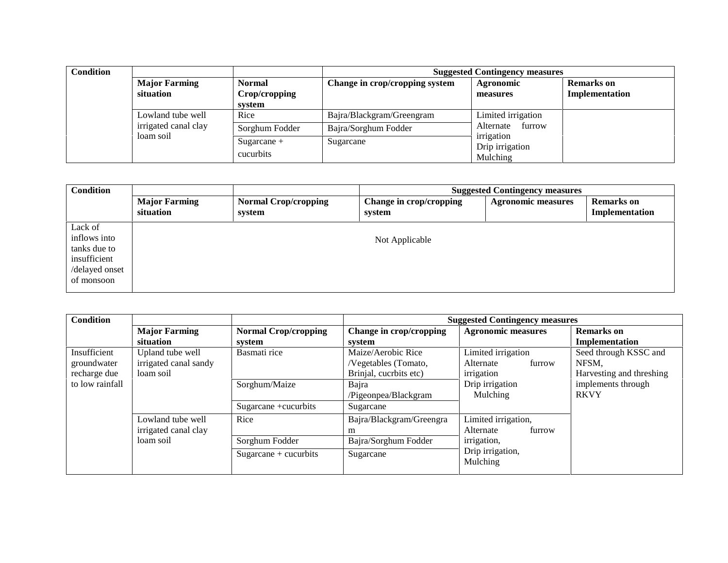| <b>Condition</b> |                                   |                                |                                | <b>Suggested Contingency measures</b>     |                                     |
|------------------|-----------------------------------|--------------------------------|--------------------------------|-------------------------------------------|-------------------------------------|
|                  | <b>Major Farming</b><br>situation | <b>Normal</b><br>Crop/cropping | Change in crop/cropping system | Agronomic<br>measures                     | <b>Remarks</b> on<br>Implementation |
|                  |                                   | system                         |                                |                                           |                                     |
|                  | Lowland tube well                 | Rice                           | Bajra/Blackgram/Greengram      | Limited irrigation                        |                                     |
|                  | irrigated canal clay              | Sorghum Fodder                 | Bajra/Sorghum Fodder           | Alternate<br>furrow                       |                                     |
|                  | loam soil                         | Sugarcane $+$<br>cucurbits     | Sugarcane                      | irrigation<br>Drip irrigation<br>Mulching |                                     |

| <b>Condition</b> |                                   |                                       | <b>Suggested Contingency measures</b> |                           |                                     |  |
|------------------|-----------------------------------|---------------------------------------|---------------------------------------|---------------------------|-------------------------------------|--|
|                  | <b>Major Farming</b><br>situation | <b>Normal Crop/cropping</b><br>system | Change in crop/cropping<br>system     | <b>Agronomic measures</b> | <b>Remarks</b> on<br>Implementation |  |
| Lack of          |                                   |                                       |                                       |                           |                                     |  |
| inflows into     |                                   |                                       | Not Applicable                        |                           |                                     |  |
| tanks due to     |                                   |                                       |                                       |                           |                                     |  |
| insufficient     |                                   |                                       |                                       |                           |                                     |  |
| /delayed onset   |                                   |                                       |                                       |                           |                                     |  |
| of monsoon       |                                   |                                       |                                       |                           |                                     |  |
|                  |                                   |                                       |                                       |                           |                                     |  |

| <b>Condition</b> |                       |                             | <b>Suggested Contingency measures</b> |                              |                          |  |
|------------------|-----------------------|-----------------------------|---------------------------------------|------------------------------|--------------------------|--|
|                  | <b>Major Farming</b>  | <b>Normal Crop/cropping</b> | Change in crop/cropping               | <b>Agronomic measures</b>    | <b>Remarks</b> on        |  |
|                  | situation             | system                      | system                                |                              | Implementation           |  |
| Insufficient     | Upland tube well      | Basmati rice                | Maize/Aerobic Rice                    | Limited irrigation           | Seed through KSSC and    |  |
| groundwater      | irrigated canal sandy |                             | /Vegetables (Tomato,                  | Alternate<br>furrow          | NFSM.                    |  |
| recharge due     | loam soil             |                             | Brinjal, cucrbits etc)                | irrigation                   | Harvesting and threshing |  |
| to low rainfall  |                       | Sorghum/Maize               | Bajra                                 | Drip irrigation              | implements through       |  |
|                  |                       |                             | /Pigeonpea/Blackgram                  | Mulching                     | <b>RKVY</b>              |  |
|                  |                       | Sugarcane +cucurbits        | Sugarcane                             |                              |                          |  |
|                  | Lowland tube well     | Rice                        | Bajra/Blackgram/Greengra              | Limited irrigation,          |                          |  |
|                  | irrigated canal clay  |                             | m                                     | Alternate<br>furrow          |                          |  |
|                  | loam soil             | Sorghum Fodder              | Bajra/Sorghum Fodder                  | irrigation,                  |                          |  |
|                  |                       | $Sugarcane + cucurbits$     | Sugarcane                             | Drip irrigation,<br>Mulching |                          |  |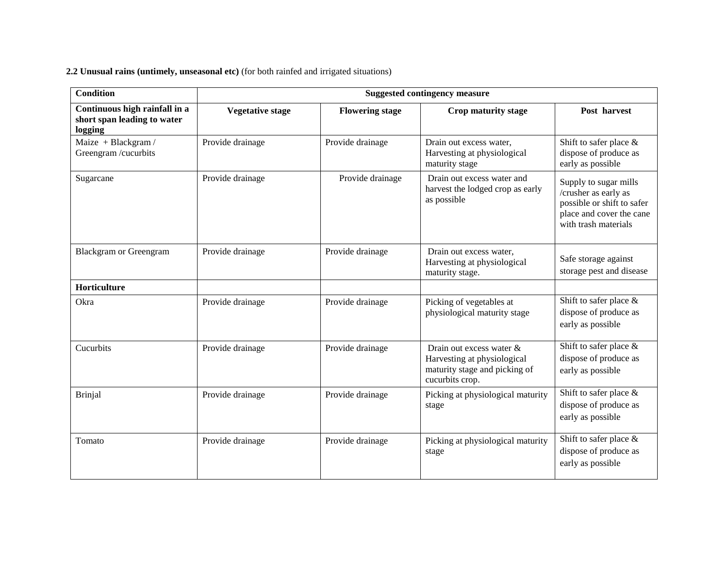**2.2 Unusual rains (untimely, unseasonal etc)** (for both rainfed and irrigated situations)

| <b>Condition</b>                                                        | <b>Suggested contingency measure</b> |                        |                                                                                                             |                                                                                                                                 |  |  |  |
|-------------------------------------------------------------------------|--------------------------------------|------------------------|-------------------------------------------------------------------------------------------------------------|---------------------------------------------------------------------------------------------------------------------------------|--|--|--|
| Continuous high rainfall in a<br>short span leading to water<br>logging | <b>Vegetative stage</b>              | <b>Flowering stage</b> | Crop maturity stage                                                                                         | Post harvest                                                                                                                    |  |  |  |
| Maize + Blackgram /<br>Greengram /cucurbits                             | Provide drainage                     | Provide drainage       | Drain out excess water,<br>Harvesting at physiological<br>maturity stage                                    | Shift to safer place $\&$<br>dispose of produce as<br>early as possible                                                         |  |  |  |
| Sugarcane                                                               | Provide drainage                     | Provide drainage       | Drain out excess water and<br>harvest the lodged crop as early<br>as possible                               | Supply to sugar mills<br>/crusher as early as<br>possible or shift to safer<br>place and cover the cane<br>with trash materials |  |  |  |
| <b>Blackgram or Greengram</b>                                           | Provide drainage                     | Provide drainage       | Drain out excess water,<br>Harvesting at physiological<br>maturity stage.                                   | Safe storage against<br>storage pest and disease                                                                                |  |  |  |
| Horticulture                                                            |                                      |                        |                                                                                                             |                                                                                                                                 |  |  |  |
| Okra                                                                    | Provide drainage                     | Provide drainage       | Picking of vegetables at<br>physiological maturity stage                                                    | Shift to safer place $\&$<br>dispose of produce as<br>early as possible                                                         |  |  |  |
| Cucurbits                                                               | Provide drainage                     | Provide drainage       | Drain out excess water &<br>Harvesting at physiological<br>maturity stage and picking of<br>cucurbits crop. | Shift to safer place &<br>dispose of produce as<br>early as possible                                                            |  |  |  |
| <b>Brinjal</b>                                                          | Provide drainage                     | Provide drainage       | Picking at physiological maturity<br>stage                                                                  | Shift to safer place $\&$<br>dispose of produce as<br>early as possible                                                         |  |  |  |
| Tomato                                                                  | Provide drainage                     | Provide drainage       | Picking at physiological maturity<br>stage                                                                  | Shift to safer place &<br>dispose of produce as<br>early as possible                                                            |  |  |  |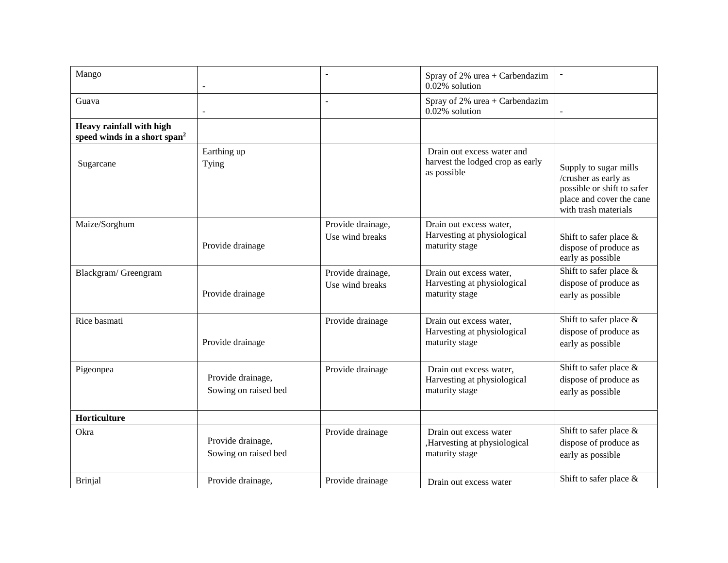| Mango                                                                | $\sim$                                    |                                      | Spray of 2% urea + Carbendazim<br>0.02% solution                              | $\overline{\phantom{a}}$                                                                                                        |
|----------------------------------------------------------------------|-------------------------------------------|--------------------------------------|-------------------------------------------------------------------------------|---------------------------------------------------------------------------------------------------------------------------------|
| Guava                                                                | $\blacksquare$                            |                                      | Spray of $2\%$ urea + Carbendazim<br>0.02% solution                           |                                                                                                                                 |
| Heavy rainfall with high<br>speed winds in a short span <sup>2</sup> |                                           |                                      |                                                                               |                                                                                                                                 |
| Sugarcane                                                            | Earthing up<br>Tying                      |                                      | Drain out excess water and<br>harvest the lodged crop as early<br>as possible | Supply to sugar mills<br>/crusher as early as<br>possible or shift to safer<br>place and cover the cane<br>with trash materials |
| Maize/Sorghum                                                        | Provide drainage                          | Provide drainage,<br>Use wind breaks | Drain out excess water,<br>Harvesting at physiological<br>maturity stage      | Shift to safer place $\&$<br>dispose of produce as<br>early as possible                                                         |
| Blackgram/Greengram                                                  | Provide drainage                          | Provide drainage,<br>Use wind breaks | Drain out excess water,<br>Harvesting at physiological<br>maturity stage      | Shift to safer place &<br>dispose of produce as<br>early as possible                                                            |
| Rice basmati                                                         | Provide drainage                          | Provide drainage                     | Drain out excess water,<br>Harvesting at physiological<br>maturity stage      | Shift to safer place $\&$<br>dispose of produce as<br>early as possible                                                         |
| Pigeonpea                                                            | Provide drainage,<br>Sowing on raised bed | Provide drainage                     | Drain out excess water,<br>Harvesting at physiological<br>maturity stage      | Shift to safer place &<br>dispose of produce as<br>early as possible                                                            |
| Horticulture                                                         |                                           |                                      |                                                                               |                                                                                                                                 |
| Okra                                                                 | Provide drainage,<br>Sowing on raised bed | Provide drainage                     | Drain out excess water<br>,Harvesting at physiological<br>maturity stage      | Shift to safer place $\&$<br>dispose of produce as<br>early as possible                                                         |
| <b>Brinjal</b>                                                       | Provide drainage,                         | Provide drainage                     | Drain out excess water                                                        | Shift to safer place &                                                                                                          |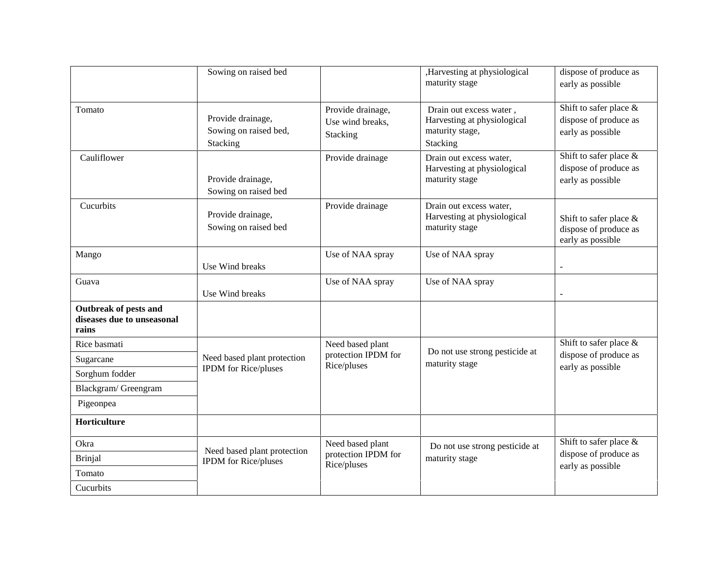|                                                                     | Sowing on raised bed                                       |                                                   | ,Harvesting at physiological<br>maturity stage                                        | dispose of produce as<br>early as possible                              |
|---------------------------------------------------------------------|------------------------------------------------------------|---------------------------------------------------|---------------------------------------------------------------------------------------|-------------------------------------------------------------------------|
| Tomato                                                              | Provide drainage,<br>Sowing on raised bed,<br>Stacking     | Provide drainage,<br>Use wind breaks,<br>Stacking | Drain out excess water,<br>Harvesting at physiological<br>maturity stage,<br>Stacking | Shift to safer place $\&$<br>dispose of produce as<br>early as possible |
| Cauliflower                                                         | Provide drainage,<br>Sowing on raised bed                  | Provide drainage                                  | Drain out excess water,<br>Harvesting at physiological<br>maturity stage              | Shift to safer place &<br>dispose of produce as<br>early as possible    |
| Cucurbits                                                           | Provide drainage,<br>Sowing on raised bed                  | Provide drainage                                  | Drain out excess water,<br>Harvesting at physiological<br>maturity stage              | Shift to safer place $\&$<br>dispose of produce as<br>early as possible |
| Mango                                                               | Use Wind breaks                                            | Use of NAA spray                                  | Use of NAA spray                                                                      |                                                                         |
| Guava                                                               | Use Wind breaks                                            | Use of NAA spray                                  | Use of NAA spray                                                                      |                                                                         |
| <b>Outbreak of pests and</b><br>diseases due to unseasonal<br>rains |                                                            |                                                   |                                                                                       |                                                                         |
| Rice basmati                                                        |                                                            | Need based plant                                  |                                                                                       | Shift to safer place $\&$                                               |
| Sugarcane                                                           | Need based plant protection                                | protection IPDM for<br>Rice/pluses                | Do not use strong pesticide at<br>maturity stage                                      | dispose of produce as                                                   |
| Sorghum fodder                                                      | <b>IPDM</b> for Rice/pluses                                |                                                   |                                                                                       | early as possible                                                       |
| Blackgram/ Greengram                                                |                                                            |                                                   |                                                                                       |                                                                         |
| Pigeonpea                                                           |                                                            |                                                   |                                                                                       |                                                                         |
| Horticulture                                                        |                                                            |                                                   |                                                                                       |                                                                         |
| Okra                                                                |                                                            | Need based plant                                  | Do not use strong pesticide at                                                        | Shift to safer place &                                                  |
| <b>Brinjal</b>                                                      | Need based plant protection<br><b>IPDM</b> for Rice/pluses | protection IPDM for<br>Rice/pluses                | maturity stage                                                                        | dispose of produce as                                                   |
| Tomato                                                              |                                                            |                                                   |                                                                                       | early as possible                                                       |
| Cucurbits                                                           |                                                            |                                                   |                                                                                       |                                                                         |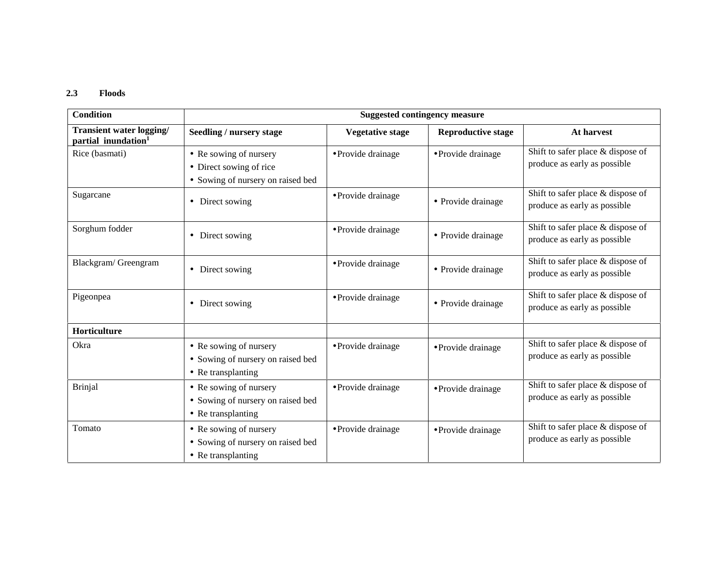#### **2.3 Floods**

| <b>Condition</b>                                            |                                                                                        | <b>Suggested contingency measure</b> |                           |                                                                   |  |  |
|-------------------------------------------------------------|----------------------------------------------------------------------------------------|--------------------------------------|---------------------------|-------------------------------------------------------------------|--|--|
| Transient water logging/<br>partial inundation <sup>1</sup> | Seedling / nursery stage                                                               | <b>Vegetative stage</b>              | <b>Reproductive stage</b> | At harvest                                                        |  |  |
| Rice (basmati)                                              | • Re sowing of nursery<br>• Direct sowing of rice<br>• Sowing of nursery on raised bed | • Provide drainage                   | • Provide drainage        | Shift to safer place & dispose of<br>produce as early as possible |  |  |
| Sugarcane                                                   | Direct sowing<br>$\bullet$                                                             | • Provide drainage                   | • Provide drainage        | Shift to safer place & dispose of<br>produce as early as possible |  |  |
| Sorghum fodder                                              | • Direct sowing                                                                        | • Provide drainage                   | • Provide drainage        | Shift to safer place & dispose of<br>produce as early as possible |  |  |
| Blackgram/ Greengram                                        | Direct sowing<br>$\bullet$                                                             | • Provide drainage                   | • Provide drainage        | Shift to safer place & dispose of<br>produce as early as possible |  |  |
| Pigeonpea                                                   | Direct sowing<br>$\bullet$                                                             | • Provide drainage                   | • Provide drainage        | Shift to safer place & dispose of<br>produce as early as possible |  |  |
| Horticulture                                                |                                                                                        |                                      |                           |                                                                   |  |  |
| Okra                                                        | • Re sowing of nursery<br>• Sowing of nursery on raised bed<br>• Re transplanting      | • Provide drainage                   | • Provide drainage        | Shift to safer place & dispose of<br>produce as early as possible |  |  |
| <b>Brinjal</b>                                              | • Re sowing of nursery<br>• Sowing of nursery on raised bed<br>• Re transplanting      | • Provide drainage                   | • Provide drainage        | Shift to safer place & dispose of<br>produce as early as possible |  |  |
| Tomato                                                      | • Re sowing of nursery<br>• Sowing of nursery on raised bed<br>• Re transplanting      | · Provide drainage                   | • Provide drainage        | Shift to safer place & dispose of<br>produce as early as possible |  |  |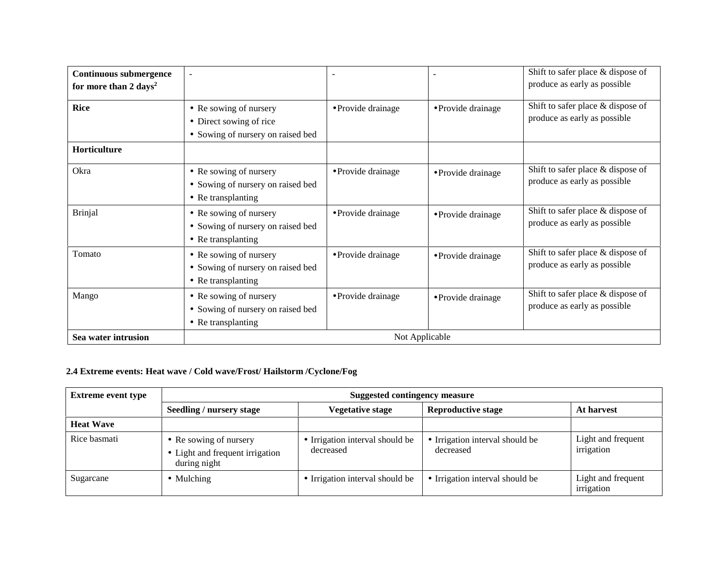| <b>Continuous submergence</b><br>for more than 2 days <sup>2</sup> | $\overline{\phantom{a}}$                                                               |                    |                    | Shift to safer place & dispose of<br>produce as early as possible |  |  |
|--------------------------------------------------------------------|----------------------------------------------------------------------------------------|--------------------|--------------------|-------------------------------------------------------------------|--|--|
| <b>Rice</b>                                                        | • Re sowing of nursery<br>• Direct sowing of rice<br>• Sowing of nursery on raised bed | • Provide drainage | • Provide drainage | Shift to safer place & dispose of<br>produce as early as possible |  |  |
| <b>Horticulture</b>                                                |                                                                                        |                    |                    |                                                                   |  |  |
| Okra                                                               | • Re sowing of nursery<br>• Sowing of nursery on raised bed<br>• Re transplanting      | • Provide drainage | • Provide drainage | Shift to safer place & dispose of<br>produce as early as possible |  |  |
| <b>Brinjal</b>                                                     | • Re sowing of nursery<br>• Sowing of nursery on raised bed<br>• Re transplanting      | · Provide drainage | • Provide drainage | Shift to safer place & dispose of<br>produce as early as possible |  |  |
| Tomato                                                             | • Re sowing of nursery<br>• Sowing of nursery on raised bed<br>• Re transplanting      | • Provide drainage | • Provide drainage | Shift to safer place & dispose of<br>produce as early as possible |  |  |
| Mango                                                              | • Re sowing of nursery<br>• Sowing of nursery on raised bed<br>• Re transplanting      | • Provide drainage | • Provide drainage | Shift to safer place & dispose of<br>produce as early as possible |  |  |
| Sea water intrusion                                                |                                                                                        | Not Applicable     |                    |                                                                   |  |  |

## **2.4 Extreme events: Heat wave / Cold wave/Frost/ Hailstorm /Cyclone/Fog**

| <b>Extreme event type</b> | <b>Suggested contingency measure</b>                                      |                                              |                                              |                                  |  |
|---------------------------|---------------------------------------------------------------------------|----------------------------------------------|----------------------------------------------|----------------------------------|--|
|                           | Seedling / nursery stage                                                  | Vegetative stage                             | <b>Reproductive stage</b>                    | At harvest                       |  |
| <b>Heat Wave</b>          |                                                                           |                                              |                                              |                                  |  |
| Rice basmati              | • Re sowing of nursery<br>• Light and frequent irrigation<br>during night | • Irrigation interval should be<br>decreased | • Irrigation interval should be<br>decreased | Light and frequent<br>irrigation |  |
| Sugarcane                 | $\bullet$ Mulching                                                        | • Irrigation interval should be              | • Irrigation interval should be              | Light and frequent<br>irrigation |  |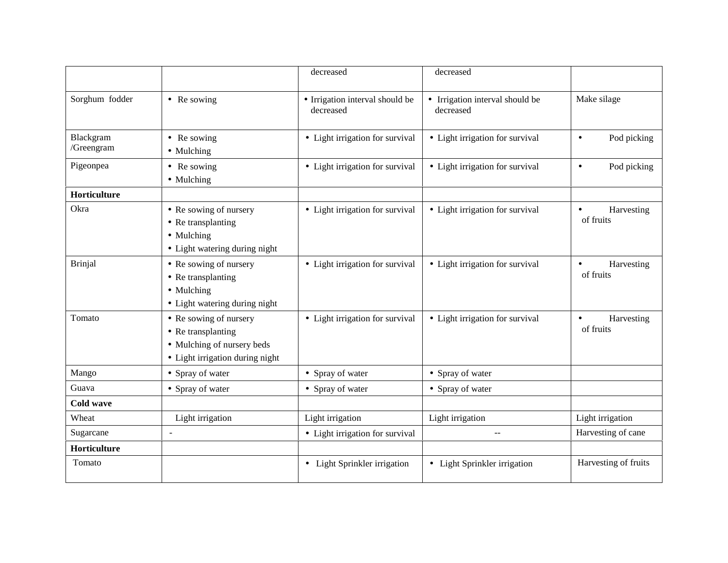|                         |                                                                                                               | decreased                                    | decreased                                    |                                      |
|-------------------------|---------------------------------------------------------------------------------------------------------------|----------------------------------------------|----------------------------------------------|--------------------------------------|
| Sorghum fodder          | • Re sowing                                                                                                   | • Irrigation interval should be<br>decreased | • Irrigation interval should be<br>decreased | Make silage                          |
| Blackgram<br>/Greengram | • Re sowing<br>• Mulching                                                                                     | • Light irrigation for survival              | • Light irrigation for survival              | Pod picking<br>$\bullet$             |
| Pigeonpea               | • Re sowing<br>• Mulching                                                                                     | • Light irrigation for survival              | • Light irrigation for survival              | Pod picking<br>$\bullet$             |
| Horticulture            |                                                                                                               |                                              |                                              |                                      |
| Okra                    | • Re sowing of nursery<br>• Re transplanting<br>• Mulching<br>• Light watering during night                   | • Light irrigation for survival              | • Light irrigation for survival              | Harvesting<br>$\bullet$<br>of fruits |
| Brinjal                 | • Re sowing of nursery<br>• Re transplanting<br>• Mulching<br>• Light watering during night                   | • Light irrigation for survival              | • Light irrigation for survival              | Harvesting<br>$\bullet$<br>of fruits |
| Tomato                  | • Re sowing of nursery<br>• Re transplanting<br>• Mulching of nursery beds<br>• Light irrigation during night | • Light irrigation for survival              | • Light irrigation for survival              | Harvesting<br>$\bullet$<br>of fruits |
| Mango                   | • Spray of water                                                                                              | • Spray of water                             | • Spray of water                             |                                      |
| Guava                   | • Spray of water                                                                                              | • Spray of water                             | • Spray of water                             |                                      |
| Cold wave               |                                                                                                               |                                              |                                              |                                      |
| Wheat                   | Light irrigation                                                                                              | Light irrigation                             | Light irrigation                             | Light irrigation                     |
| Sugarcane               | $\equiv$                                                                                                      | • Light irrigation for survival              | $\overline{a}$                               | Harvesting of cane                   |
| Horticulture            |                                                                                                               |                                              |                                              |                                      |
| Tomato                  |                                                                                                               | • Light Sprinkler irrigation                 | • Light Sprinkler irrigation                 | Harvesting of fruits                 |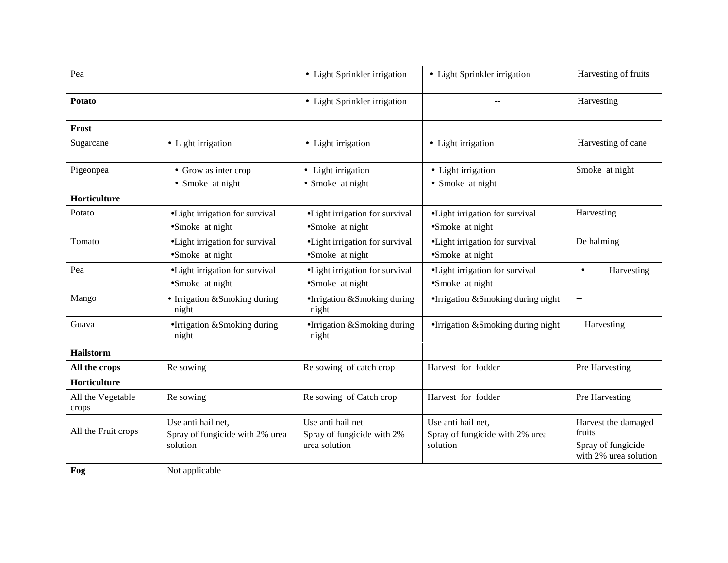|                                                                   |                                                                  |                                                                   | Harvesting of fruits                                                         |
|-------------------------------------------------------------------|------------------------------------------------------------------|-------------------------------------------------------------------|------------------------------------------------------------------------------|
|                                                                   |                                                                  |                                                                   |                                                                              |
|                                                                   | • Light Sprinkler irrigation                                     |                                                                   | Harvesting                                                                   |
|                                                                   |                                                                  |                                                                   |                                                                              |
| • Light irrigation                                                | • Light irrigation                                               | • Light irrigation                                                | Harvesting of cane                                                           |
| • Grow as inter crop                                              | • Light irrigation                                               | • Light irrigation                                                | Smoke at night                                                               |
| • Smoke at night                                                  | • Smoke at night                                                 | • Smoke at night                                                  |                                                                              |
|                                                                   |                                                                  |                                                                   |                                                                              |
| ·Light irrigation for survival                                    | •Light irrigation for survival                                   | ·Light irrigation for survival                                    | Harvesting                                                                   |
| • Light irrigation for survival<br>•Smoke at night                | ·Light irrigation for survival<br>•Smoke at night                | ·Light irrigation for survival<br>•Smoke at night                 | De halming                                                                   |
| ·Light irrigation for survival<br>•Smoke at night                 | • Light irrigation for survival<br>•Smoke at night               | ·Light irrigation for survival<br>•Smoke at night                 | Harvesting<br>$\bullet$                                                      |
| • Irrigation & Smoking during<br>night                            | •Irrigation &Smoking during<br>night                             | •Irrigation &Smoking during night                                 | $\overline{a}$                                                               |
| •Irrigation &Smoking during<br>night                              | •Irrigation &Smoking during<br>night                             | •Irrigation &Smoking during night                                 | Harvesting                                                                   |
|                                                                   |                                                                  |                                                                   |                                                                              |
| Re sowing                                                         | Re sowing of catch crop                                          | Harvest for fodder                                                | Pre Harvesting                                                               |
|                                                                   |                                                                  |                                                                   |                                                                              |
| Re sowing                                                         | Re sowing of Catch crop                                          | Harvest for fodder                                                | Pre Harvesting                                                               |
| Use anti hail net,<br>Spray of fungicide with 2% urea<br>solution | Use anti hail net<br>Spray of fungicide with 2%<br>urea solution | Use anti hail net,<br>Spray of fungicide with 2% urea<br>solution | Harvest the damaged<br>fruits<br>Spray of fungicide<br>with 2% urea solution |
| Not applicable                                                    |                                                                  |                                                                   |                                                                              |
|                                                                   | •Smoke at night                                                  | • Light Sprinkler irrigation<br>•Smoke at night                   | • Light Sprinkler irrigation<br>•Smoke at night                              |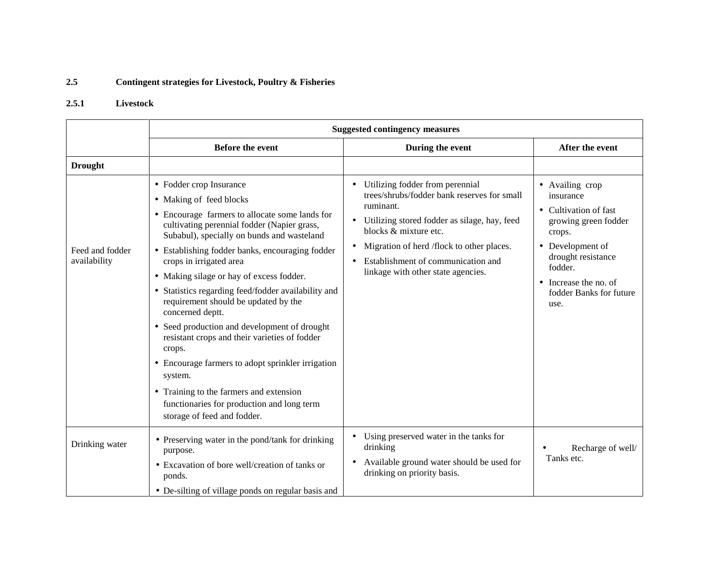### **2.5 Contingent strategies for Livestock, Poultry & Fisheries**

## **2.5.1 Livestock**

|                                 | <b>Suggested contingency measures</b>                                                                                                                                                                                                                                                                                                                                                                                                                                                                                                                                                                                                                                                                                                             |                                                                                                                                                                                                                                                                                                                         |                                                                                                                                                                                                                     |  |
|---------------------------------|---------------------------------------------------------------------------------------------------------------------------------------------------------------------------------------------------------------------------------------------------------------------------------------------------------------------------------------------------------------------------------------------------------------------------------------------------------------------------------------------------------------------------------------------------------------------------------------------------------------------------------------------------------------------------------------------------------------------------------------------------|-------------------------------------------------------------------------------------------------------------------------------------------------------------------------------------------------------------------------------------------------------------------------------------------------------------------------|---------------------------------------------------------------------------------------------------------------------------------------------------------------------------------------------------------------------|--|
|                                 | <b>Before the event</b>                                                                                                                                                                                                                                                                                                                                                                                                                                                                                                                                                                                                                                                                                                                           | During the event                                                                                                                                                                                                                                                                                                        | After the event                                                                                                                                                                                                     |  |
| <b>Drought</b>                  |                                                                                                                                                                                                                                                                                                                                                                                                                                                                                                                                                                                                                                                                                                                                                   |                                                                                                                                                                                                                                                                                                                         |                                                                                                                                                                                                                     |  |
| Feed and fodder<br>availability | • Fodder crop Insurance<br>• Making of feed blocks<br>• Encourage farmers to allocate some lands for<br>cultivating perennial fodder (Napier grass,<br>Subabul), specially on bunds and wasteland<br>• Establishing fodder banks, encouraging fodder<br>crops in irrigated area<br>• Making silage or hay of excess fodder.<br>• Statistics regarding feed/fodder availability and<br>requirement should be updated by the<br>concerned deptt.<br>• Seed production and development of drought<br>resistant crops and their varieties of fodder<br>crops.<br>• Encourage farmers to adopt sprinkler irrigation<br>system.<br>• Training to the farmers and extension<br>functionaries for production and long term<br>storage of feed and fodder. | Utilizing fodder from perennial<br>trees/shrubs/fodder bank reserves for small<br>ruminant.<br>Utilizing stored fodder as silage, hay, feed<br>$\bullet$<br>blocks & mixture etc.<br>Migration of herd /flock to other places.<br>Establishment of communication and<br>$\bullet$<br>linkage with other state agencies. | • Availing crop<br>insurance<br>• Cultivation of fast<br>growing green fodder<br>crops.<br>• Development of<br>drought resistance<br>fodder.<br>Increase the no. of<br>$\bullet$<br>fodder Banks for future<br>use. |  |
| Drinking water                  | • Preserving water in the pond/tank for drinking<br>purpose.<br>• Excavation of bore well/creation of tanks or<br>ponds.<br>• De-silting of village ponds on regular basis and                                                                                                                                                                                                                                                                                                                                                                                                                                                                                                                                                                    | Using preserved water in the tanks for<br>drinking<br>Available ground water should be used for<br>٠<br>drinking on priority basis.                                                                                                                                                                                     | Recharge of well/<br>Tanks etc.                                                                                                                                                                                     |  |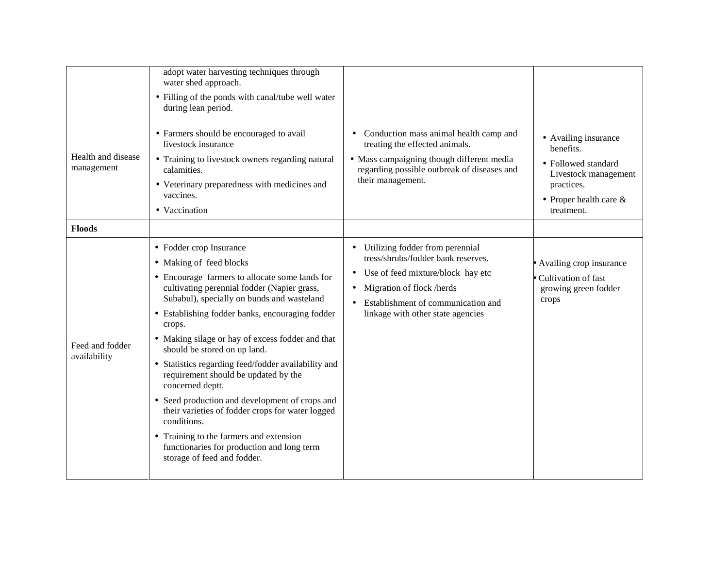| Health and disease<br>management | adopt water harvesting techniques through<br>water shed approach.<br>• Filling of the ponds with canal/tube well water<br>during lean period.<br>• Farmers should be encouraged to avail<br>livestock insurance<br>• Training to livestock owners regarding natural<br>calamities.<br>• Veterinary preparedness with medicines and<br>vaccines.<br>• Vaccination                                                                                                                                                                                                                                                                                                                                                   | Conduction mass animal health camp and<br>$\bullet$<br>treating the effected animals.<br>• Mass campaigning though different media<br>regarding possible outbreak of diseases and<br>their management.                                                    | • Availing insurance<br>benefits.<br>• Followed standard<br>Livestock management<br>practices.<br>• Proper health care $&$<br>treatment. |
|----------------------------------|--------------------------------------------------------------------------------------------------------------------------------------------------------------------------------------------------------------------------------------------------------------------------------------------------------------------------------------------------------------------------------------------------------------------------------------------------------------------------------------------------------------------------------------------------------------------------------------------------------------------------------------------------------------------------------------------------------------------|-----------------------------------------------------------------------------------------------------------------------------------------------------------------------------------------------------------------------------------------------------------|------------------------------------------------------------------------------------------------------------------------------------------|
| <b>Floods</b>                    |                                                                                                                                                                                                                                                                                                                                                                                                                                                                                                                                                                                                                                                                                                                    |                                                                                                                                                                                                                                                           |                                                                                                                                          |
| Feed and fodder<br>availability  | • Fodder crop Insurance<br>• Making of feed blocks<br>• Encourage farmers to allocate some lands for<br>cultivating perennial fodder (Napier grass,<br>Subabul), specially on bunds and wasteland<br>• Establishing fodder banks, encouraging fodder<br>crops.<br>• Making silage or hay of excess fodder and that<br>should be stored on up land.<br>• Statistics regarding feed/fodder availability and<br>requirement should be updated by the<br>concerned deptt.<br>• Seed production and development of crops and<br>their varieties of fodder crops for water logged<br>conditions.<br>• Training to the farmers and extension<br>functionaries for production and long term<br>storage of feed and fodder. | Utilizing fodder from perennial<br>$\bullet$<br>tress/shrubs/fodder bank reserves.<br>Use of feed mixture/block hay etc<br>$\bullet$<br>Migration of flock /herds<br>$\bullet$<br>Establishment of communication and<br>linkage with other state agencies | Availing crop insurance<br>Cultivation of fast<br>growing green fodder<br>crops                                                          |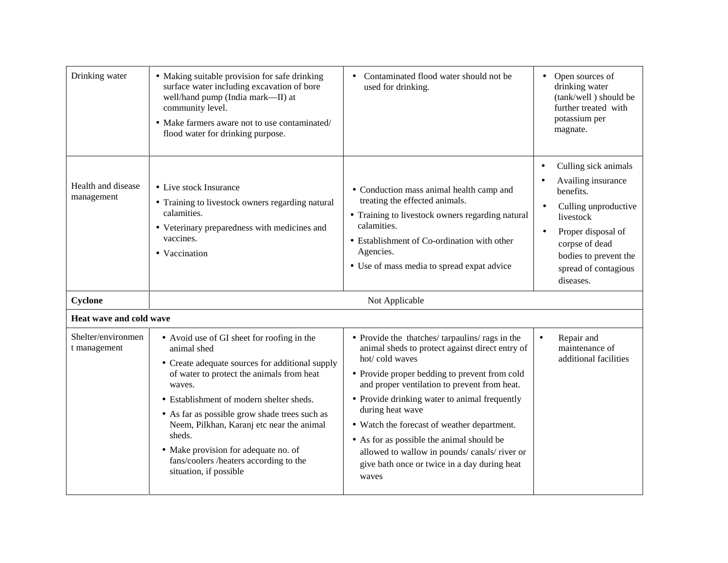| Drinking water                     | • Making suitable provision for safe drinking<br>surface water including excavation of bore<br>well/hand pump (India mark-II) at<br>community level.<br>• Make farmers aware not to use contaminated/<br>flood water for drinking purpose.                                                                                                                                                                                          | Contaminated flood water should not be<br>used for drinking.                                                                                                                                                                                                                                                                                                                                                                                                                                 | Open sources of<br>drinking water<br>(tank/well) should be<br>further treated with<br>potassium per<br>magnate.                                                                                                                                        |
|------------------------------------|-------------------------------------------------------------------------------------------------------------------------------------------------------------------------------------------------------------------------------------------------------------------------------------------------------------------------------------------------------------------------------------------------------------------------------------|----------------------------------------------------------------------------------------------------------------------------------------------------------------------------------------------------------------------------------------------------------------------------------------------------------------------------------------------------------------------------------------------------------------------------------------------------------------------------------------------|--------------------------------------------------------------------------------------------------------------------------------------------------------------------------------------------------------------------------------------------------------|
| Health and disease<br>management   | • Live stock Insurance<br>• Training to livestock owners regarding natural<br>calamities.<br>• Veterinary preparedness with medicines and<br>vaccines.<br>• Vaccination                                                                                                                                                                                                                                                             | • Conduction mass animal health camp and<br>treating the effected animals.<br>• Training to livestock owners regarding natural<br>calamities.<br>• Establishment of Co-ordination with other<br>Agencies.<br>• Use of mass media to spread expat advice                                                                                                                                                                                                                                      | Culling sick animals<br>$\bullet$<br>Availing insurance<br>$\bullet$<br>benefits.<br>Culling unproductive<br>$\bullet$<br>livestock<br>Proper disposal of<br>$\bullet$<br>corpse of dead<br>bodies to prevent the<br>spread of contagious<br>diseases. |
| Cyclone                            |                                                                                                                                                                                                                                                                                                                                                                                                                                     | Not Applicable                                                                                                                                                                                                                                                                                                                                                                                                                                                                               |                                                                                                                                                                                                                                                        |
| Heat wave and cold wave            |                                                                                                                                                                                                                                                                                                                                                                                                                                     |                                                                                                                                                                                                                                                                                                                                                                                                                                                                                              |                                                                                                                                                                                                                                                        |
| Shelter/environmen<br>t management | • Avoid use of GI sheet for roofing in the<br>animal shed<br>• Create adequate sources for additional supply<br>of water to protect the animals from heat<br>waves.<br>• Establishment of modern shelter sheds.<br>• As far as possible grow shade trees such as<br>Neem, Pilkhan, Karanj etc near the animal<br>sheds.<br>• Make provision for adequate no. of<br>fans/coolers /heaters according to the<br>situation, if possible | • Provide the thatches/tarpaulins/rags in the<br>animal sheds to protect against direct entry of<br>hot/cold waves<br>• Provide proper bedding to prevent from cold<br>and proper ventilation to prevent from heat.<br>• Provide drinking water to animal frequently<br>during heat wave<br>• Watch the forecast of weather department.<br>• As for as possible the animal should be<br>allowed to wallow in pounds/canals/river or<br>give bath once or twice in a day during heat<br>waves | Repair and<br>$\bullet$<br>maintenance of<br>additional facilities                                                                                                                                                                                     |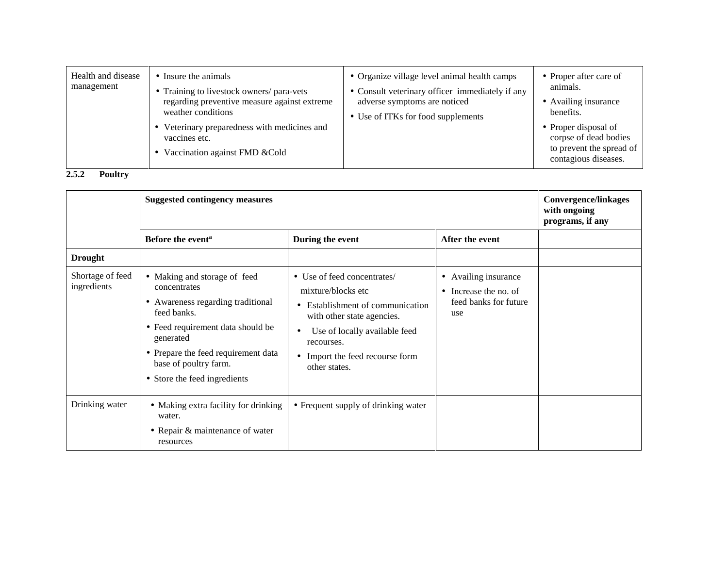| Health and disease<br>management | • Insure the animals<br>Training to livestock owners/ para-vets<br>regarding preventive measure against extreme<br>weather conditions<br>Veterinary preparedness with medicines and<br>vaccines etc.<br>Vaccination against FMD & Cold | • Organize village level animal health camps<br>• Consult veterinary officer immediately if any<br>adverse symptoms are noticed<br>• Use of ITKs for food supplements | • Proper after care of<br>animals.<br>• Availing insurance<br>benefits.<br>$\bullet$ Proper disposal of<br>corpse of dead bodies<br>to prevent the spread of<br>contagious diseases. |
|----------------------------------|----------------------------------------------------------------------------------------------------------------------------------------------------------------------------------------------------------------------------------------|-----------------------------------------------------------------------------------------------------------------------------------------------------------------------|--------------------------------------------------------------------------------------------------------------------------------------------------------------------------------------|
|----------------------------------|----------------------------------------------------------------------------------------------------------------------------------------------------------------------------------------------------------------------------------------|-----------------------------------------------------------------------------------------------------------------------------------------------------------------------|--------------------------------------------------------------------------------------------------------------------------------------------------------------------------------------|

**2.5.2 Poultry**

|                                 | <b>Suggested contingency measures</b>                                                                                                                                                                                                              | <b>Convergence/linkages</b><br>with ongoing<br>programs, if any                                                                                                                                                                              |                                                                               |  |
|---------------------------------|----------------------------------------------------------------------------------------------------------------------------------------------------------------------------------------------------------------------------------------------------|----------------------------------------------------------------------------------------------------------------------------------------------------------------------------------------------------------------------------------------------|-------------------------------------------------------------------------------|--|
|                                 | Before the event <sup>a</sup>                                                                                                                                                                                                                      | During the event                                                                                                                                                                                                                             | After the event                                                               |  |
| <b>Drought</b>                  |                                                                                                                                                                                                                                                    |                                                                                                                                                                                                                                              |                                                                               |  |
| Shortage of feed<br>ingredients | • Making and storage of feed<br>concentrates<br>• Awareness regarding traditional<br>feed banks.<br>• Feed requirement data should be<br>generated<br>• Prepare the feed requirement data<br>base of poultry farm.<br>• Store the feed ingredients | • Use of feed concentrates/<br>mixture/blocks etc<br>Establishment of communication<br>with other state agencies.<br>Use of locally available feed<br>$\bullet$<br>recourses.<br>Import the feed recourse form<br>$\bullet$<br>other states. | • Availing insurance<br>• Increase the no. of<br>feed banks for future<br>use |  |
| Drinking water                  | • Making extra facility for drinking<br>water.<br>• Repair & maintenance of water<br>resources                                                                                                                                                     | • Frequent supply of drinking water                                                                                                                                                                                                          |                                                                               |  |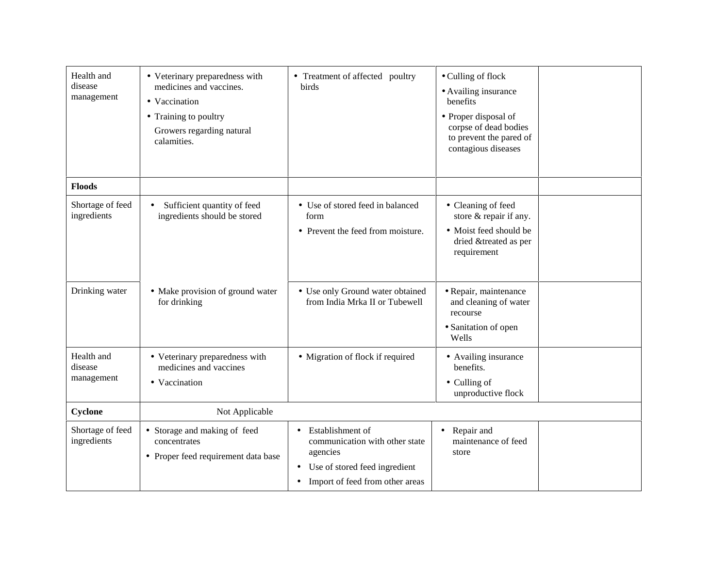| Health and<br>disease<br>management | • Veterinary preparedness with<br>medicines and vaccines.<br>• Vaccination<br>• Training to poultry<br>Growers regarding natural<br>calamities. | • Treatment of affected poultry<br>birds                                                                                                            | • Culling of flock<br>• Availing insurance<br>benefits<br>• Proper disposal of<br>corpse of dead bodies<br>to prevent the pared of<br>contagious diseases |  |
|-------------------------------------|-------------------------------------------------------------------------------------------------------------------------------------------------|-----------------------------------------------------------------------------------------------------------------------------------------------------|-----------------------------------------------------------------------------------------------------------------------------------------------------------|--|
| <b>Floods</b>                       |                                                                                                                                                 |                                                                                                                                                     |                                                                                                                                                           |  |
| Shortage of feed<br>ingredients     | Sufficient quantity of feed<br>$\bullet$<br>ingredients should be stored                                                                        | • Use of stored feed in balanced<br>form<br>• Prevent the feed from moisture.                                                                       | • Cleaning of feed<br>store & repair if any.<br>• Moist feed should be<br>dried &treated as per<br>requirement                                            |  |
| Drinking water                      | • Make provision of ground water<br>for drinking                                                                                                | • Use only Ground water obtained<br>from India Mrka II or Tubewell                                                                                  | · Repair, maintenance<br>and cleaning of water<br>recourse<br>• Sanitation of open<br>Wells                                                               |  |
| Health and<br>disease<br>management | • Veterinary preparedness with<br>medicines and vaccines<br>• Vaccination                                                                       | • Migration of flock if required                                                                                                                    | • Availing insurance<br>benefits.<br>• Culling of<br>unproductive flock                                                                                   |  |
| Cyclone                             | Not Applicable                                                                                                                                  |                                                                                                                                                     |                                                                                                                                                           |  |
| Shortage of feed<br>ingredients     | • Storage and making of feed<br>concentrates<br>• Proper feed requirement data base                                                             | Establishment of<br>$\bullet$<br>communication with other state<br>agencies<br>• Use of stored feed ingredient<br>• Import of feed from other areas | • Repair and<br>maintenance of feed<br>store                                                                                                              |  |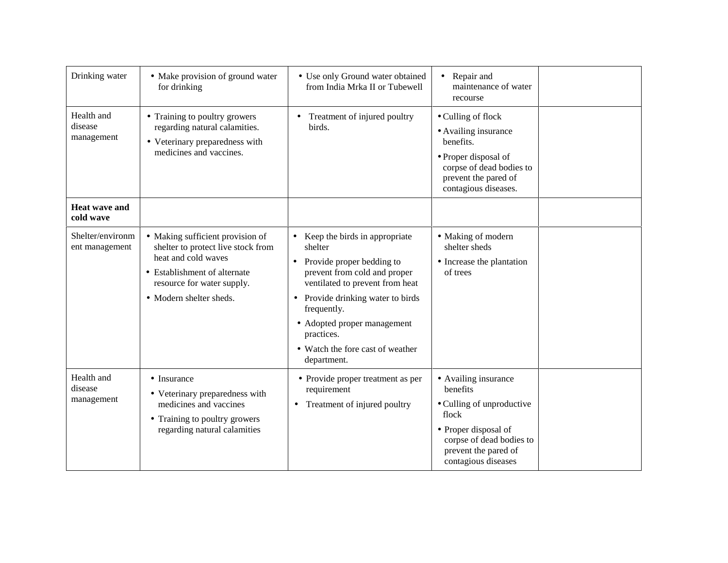| Drinking water                      | • Make provision of ground water<br>for drinking                                                                                                                                       | • Use only Ground water obtained<br>from India Mrka II or Tubewell                                                                                                                                                                                                                                      | • Repair and<br>maintenance of water<br>recourse                                                                                                                          |  |
|-------------------------------------|----------------------------------------------------------------------------------------------------------------------------------------------------------------------------------------|---------------------------------------------------------------------------------------------------------------------------------------------------------------------------------------------------------------------------------------------------------------------------------------------------------|---------------------------------------------------------------------------------------------------------------------------------------------------------------------------|--|
| Health and<br>disease<br>management | • Training to poultry growers<br>regarding natural calamities.<br>• Veterinary preparedness with<br>medicines and vaccines.                                                            | Treatment of injured poultry<br>$\bullet$<br>birds.                                                                                                                                                                                                                                                     | • Culling of flock<br>• Availing insurance<br>benefits.<br>• Proper disposal of<br>corpse of dead bodies to<br>prevent the pared of<br>contagious diseases.               |  |
| <b>Heat wave and</b><br>cold wave   |                                                                                                                                                                                        |                                                                                                                                                                                                                                                                                                         |                                                                                                                                                                           |  |
| Shelter/environm<br>ent management  | • Making sufficient provision of<br>shelter to protect live stock from<br>heat and cold waves<br>• Establishment of alternate<br>resource for water supply.<br>• Modern shelter sheds. | Keep the birds in appropriate<br>shelter<br>Provide proper bedding to<br>$\bullet$<br>prevent from cold and proper<br>ventilated to prevent from heat<br>Provide drinking water to birds<br>frequently.<br>• Adopted proper management<br>practices.<br>• Watch the fore cast of weather<br>department. | • Making of modern<br>shelter sheds<br>• Increase the plantation<br>of trees                                                                                              |  |
| Health and<br>disease<br>management | $\bullet$ Insurance<br>• Veterinary preparedness with<br>medicines and vaccines<br>• Training to poultry growers<br>regarding natural calamities                                       | • Provide proper treatment as per<br>requirement<br>• Treatment of injured poultry                                                                                                                                                                                                                      | • Availing insurance<br>benefits<br>• Culling of unproductive<br>flock<br>• Proper disposal of<br>corpse of dead bodies to<br>prevent the pared of<br>contagious diseases |  |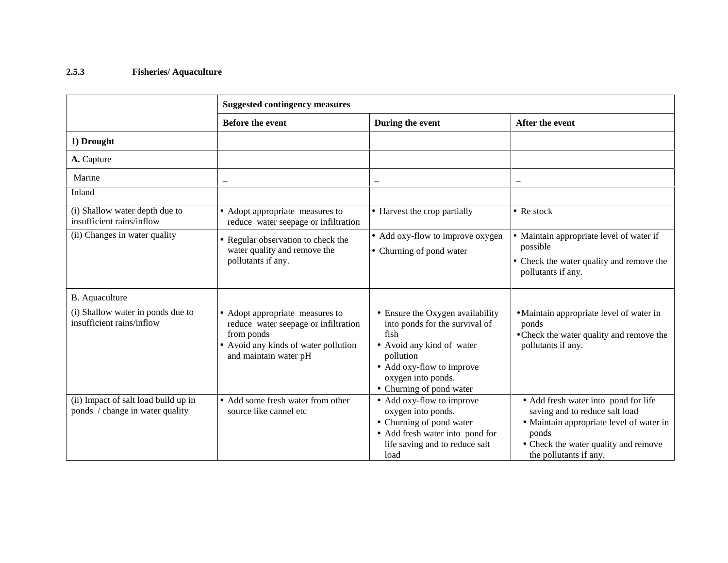## **2.5.3 Fisheries/ Aquaculture**

|                                                                         | <b>Suggested contingency measures</b>                                                                                                                  |                                                                                                                                                                                                     |                                                                                                                                                                                               |
|-------------------------------------------------------------------------|--------------------------------------------------------------------------------------------------------------------------------------------------------|-----------------------------------------------------------------------------------------------------------------------------------------------------------------------------------------------------|-----------------------------------------------------------------------------------------------------------------------------------------------------------------------------------------------|
|                                                                         | <b>Before the event</b>                                                                                                                                | During the event                                                                                                                                                                                    | After the event                                                                                                                                                                               |
| 1) Drought                                                              |                                                                                                                                                        |                                                                                                                                                                                                     |                                                                                                                                                                                               |
| A. Capture                                                              |                                                                                                                                                        |                                                                                                                                                                                                     |                                                                                                                                                                                               |
| Marine                                                                  | -                                                                                                                                                      |                                                                                                                                                                                                     |                                                                                                                                                                                               |
| Inland                                                                  |                                                                                                                                                        |                                                                                                                                                                                                     |                                                                                                                                                                                               |
| (i) Shallow water depth due to<br>insufficient rains/inflow             | • Adopt appropriate measures to<br>reduce water seepage or infiltration                                                                                | • Harvest the crop partially                                                                                                                                                                        | $\bullet$ Re stock                                                                                                                                                                            |
| (ii) Changes in water quality                                           | • Regular observation to check the<br>water quality and remove the<br>pollutants if any.                                                               | • Add oxy-flow to improve oxygen<br>• Churning of pond water                                                                                                                                        | • Maintain appropriate level of water if<br>possible<br>• Check the water quality and remove the<br>pollutants if any.                                                                        |
| B. Aquaculture                                                          |                                                                                                                                                        |                                                                                                                                                                                                     |                                                                                                                                                                                               |
| (i) Shallow water in ponds due to<br>insufficient rains/inflow          | • Adopt appropriate measures to<br>reduce water seepage or infiltration<br>from ponds<br>• Avoid any kinds of water pollution<br>and maintain water pH | • Ensure the Oxygen availability<br>into ponds for the survival of<br>fish<br>• Avoid any kind of water<br>pollution<br>• Add oxy-flow to improve<br>oxygen into ponds.<br>• Churning of pond water | • Maintain appropriate level of water in<br>ponds<br>• Check the water quality and remove the<br>pollutants if any.                                                                           |
| (ii) Impact of salt load build up in<br>ponds / change in water quality | • Add some fresh water from other<br>source like cannel etc                                                                                            | • Add oxy-flow to improve<br>oxygen into ponds.<br>• Churning of pond water<br>• Add fresh water into pond for<br>life saving and to reduce salt<br>load                                            | • Add fresh water into pond for life<br>saving and to reduce salt load<br>• Maintain appropriate level of water in<br>ponds<br>• Check the water quality and remove<br>the pollutants if any. |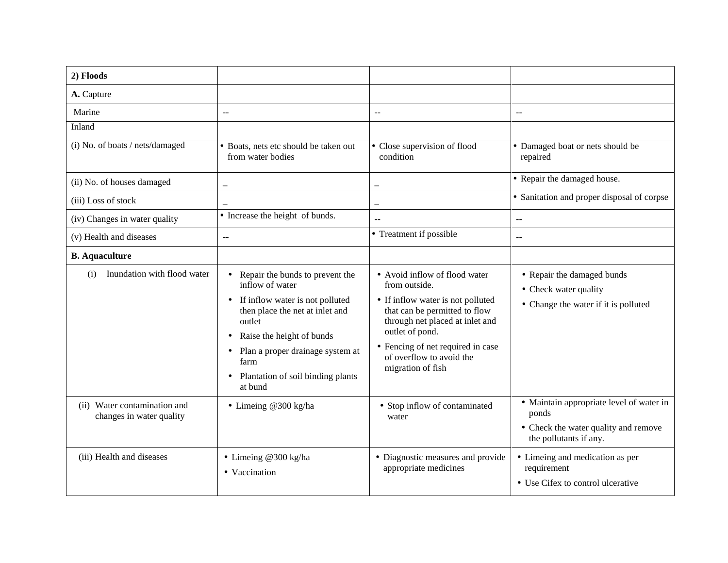| 2) Floods                                                |                                                                                                                                                                                                                                                                                                                      |                                                                                                                                                                                                                                                                  |                                                                                                                     |
|----------------------------------------------------------|----------------------------------------------------------------------------------------------------------------------------------------------------------------------------------------------------------------------------------------------------------------------------------------------------------------------|------------------------------------------------------------------------------------------------------------------------------------------------------------------------------------------------------------------------------------------------------------------|---------------------------------------------------------------------------------------------------------------------|
| A. Capture                                               |                                                                                                                                                                                                                                                                                                                      |                                                                                                                                                                                                                                                                  |                                                                                                                     |
| Marine                                                   | $\overline{a}$                                                                                                                                                                                                                                                                                                       | $\overline{a}$                                                                                                                                                                                                                                                   | $\mathbf{u}$                                                                                                        |
| Inland                                                   |                                                                                                                                                                                                                                                                                                                      |                                                                                                                                                                                                                                                                  |                                                                                                                     |
| (i) No. of boats / nets/damaged                          | • Boats, nets etc should be taken out<br>from water bodies                                                                                                                                                                                                                                                           | • Close supervision of flood<br>condition                                                                                                                                                                                                                        | • Damaged boat or nets should be<br>repaired                                                                        |
| (ii) No. of houses damaged                               | $\overline{\phantom{0}}$                                                                                                                                                                                                                                                                                             | $\overline{\phantom{m}}$                                                                                                                                                                                                                                         | • Repair the damaged house.                                                                                         |
| (iii) Loss of stock                                      |                                                                                                                                                                                                                                                                                                                      | $\overline{\phantom{0}}$                                                                                                                                                                                                                                         | • Sanitation and proper disposal of corpse                                                                          |
| (iv) Changes in water quality                            | • Increase the height of bunds.                                                                                                                                                                                                                                                                                      | $\mathbf{u}$                                                                                                                                                                                                                                                     | $\mathbb{L}$ .                                                                                                      |
| (v) Health and diseases                                  | $\mathord{\hspace{1pt}\text{--}\hspace{1pt}}$                                                                                                                                                                                                                                                                        | • Treatment if possible                                                                                                                                                                                                                                          | $-$                                                                                                                 |
| <b>B.</b> Aquaculture                                    |                                                                                                                                                                                                                                                                                                                      |                                                                                                                                                                                                                                                                  |                                                                                                                     |
| Inundation with flood water<br>(i)                       | Repair the bunds to prevent the<br>$\bullet$<br>inflow of water<br>If inflow water is not polluted<br>$\bullet$<br>then place the net at inlet and<br>outlet<br>Raise the height of bunds<br>٠<br>Plan a proper drainage system at<br>$\bullet$<br>farm<br>Plantation of soil binding plants<br>$\bullet$<br>at bund | • Avoid inflow of flood water<br>from outside.<br>• If inflow water is not polluted<br>that can be permitted to flow<br>through net placed at inlet and<br>outlet of pond.<br>• Fencing of net required in case<br>of overflow to avoid the<br>migration of fish | • Repair the damaged bunds<br>• Check water quality<br>• Change the water if it is polluted                         |
| (ii) Water contamination and<br>changes in water quality | • Limeing @300 kg/ha                                                                                                                                                                                                                                                                                                 | • Stop inflow of contaminated<br>water                                                                                                                                                                                                                           | • Maintain appropriate level of water in<br>ponds<br>• Check the water quality and remove<br>the pollutants if any. |
| (iii) Health and diseases                                | • Limeing @300 kg/ha<br>• Vaccination                                                                                                                                                                                                                                                                                | • Diagnostic measures and provide<br>appropriate medicines                                                                                                                                                                                                       | • Limeing and medication as per<br>requirement<br>• Use Cifex to control ulcerative                                 |